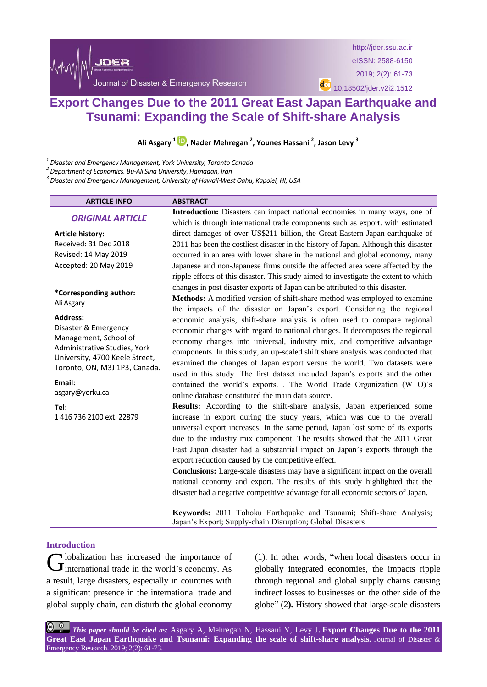

http://jder.ssu.ac.ir eISSN: 2588-6150 2019; 2(2): 61-73 do)<br>10.18502/jder.v2i2.1512

# **Export Changes Due to the 2011 Great East Japan Earthquake and Tsunami: Expanding the Scale of Shift-share Analysis**

**Ali Asgary <sup>1</sup> , Nader Mehregan <sup>2</sup> , Younes Hassani <sup>2</sup> , Jason Levy <sup>3</sup>**

*1 Disaster and Emergency Management, York University, Toronto Canada*

*2 Department of Economics, Bu-Ali Sina University, Hamadan, Iran*

*3 Disaster and Emergency Management, University of Hawaii-West Oahu, Kapolei, HI, USA*

| <b>ARTICLE INFO</b>                                            | <b>ABSTRACT</b>                                                                        |
|----------------------------------------------------------------|----------------------------------------------------------------------------------------|
|                                                                | Introduction: Disasters can impact national economies in many ways, one of             |
| <b>ORIGINAL ARTICLE</b>                                        | which is through international trade components such as export. with estimated         |
| <b>Article history:</b>                                        | direct damages of over US\$211 billion, the Great Eastern Japan earthquake of          |
| Received: 31 Dec 2018                                          | 2011 has been the costliest disaster in the history of Japan. Although this disaster   |
| Revised: 14 May 2019                                           | occurred in an area with lower share in the national and global economy, many          |
| Accepted: 20 May 2019                                          | Japanese and non-Japanese firms outside the affected area were affected by the         |
|                                                                | ripple effects of this disaster. This study aimed to investigate the extent to which   |
|                                                                | changes in post disaster exports of Japan can be attributed to this disaster.          |
| *Corresponding author:<br>Ali Asgary                           | Methods: A modified version of shift-share method was employed to examine              |
|                                                                | the impacts of the disaster on Japan's export. Considering the regional                |
| <b>Address:</b>                                                | economic analysis, shift-share analysis is often used to compare regional              |
| Disaster & Emergency                                           | economic changes with regard to national changes. It decomposes the regional           |
| Management, School of                                          | economy changes into universal, industry mix, and competitive advantage                |
| Administrative Studies, York<br>University, 4700 Keele Street, | components. In this study, an up-scaled shift share analysis was conducted that        |
| Toronto, ON, M3J 1P3, Canada.                                  | examined the changes of Japan export versus the world. Two datasets were               |
|                                                                | used in this study. The first dataset included Japan's exports and the other           |
| Email:                                                         | contained the world's exports. . The World Trade Organization (WTO)'s                  |
| asgary@yorku.ca                                                | online database constituted the main data source.                                      |
| Tel:                                                           | Results: According to the shift-share analysis, Japan experienced some                 |
| 14167362100 ext. 22879                                         | increase in export during the study years, which was due to the overall                |
|                                                                | universal export increases. In the same period, Japan lost some of its exports         |
|                                                                | due to the industry mix component. The results showed that the 2011 Great              |
|                                                                | East Japan disaster had a substantial impact on Japan's exports through the            |
|                                                                | export reduction caused by the competitive effect.                                     |
|                                                                | <b>Conclusions:</b> Large-scale disasters may have a significant impact on the overall |
|                                                                | national economy and export. The results of this study highlighted that the            |
|                                                                | disaster had a negative competitive advantage for all economic sectors of Japan.       |
|                                                                |                                                                                        |

**Keywords:** 2011 Tohoku Earthquake and Tsunami; Shift-share Analysis; Japan's Export; Supply-chain Disruption; Global Disasters

## **Introduction**

lobalization has increased the importance of Globalization has increased the importance of international trade in the world's economy. As a result, large disasters, especially in countries with a significant presence in the international trade and global supply chain, can disturb the global economy

(1). In other words, "when local disasters occur in globally integrated economies, the impacts ripple through regional and global supply chains causing indirect losses to businesses on the other side of the globe" (2**).** History showed that large-scale disasters

*This paper should be cited a*s: Asgary A, Mehregan N, Hassani Y, Levy J**. Export Changes Due to the 2011 Great East Japan Earthquake and Tsunami: Expanding the scale of shift-share analysis.** Journal of Disaster & Emergency Research. 2019; 2(2): 61-73.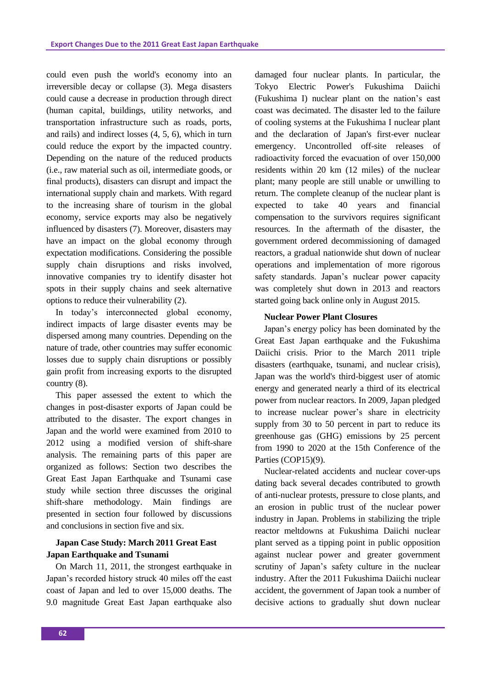could even push the world's economy into an irreversible decay or collapse (3). Mega disasters could cause a decrease in production through direct (human capital, buildings, utility networks, and transportation infrastructure such as roads, ports, and rails) and indirect losses (4, 5, 6), which in turn could reduce the export by the impacted country. Depending on the nature of the reduced products (i.e., raw material such as oil, intermediate goods, or final products), disasters can disrupt and impact the international supply chain and markets. With regard to the increasing share of tourism in the global economy, service exports may also be negatively influenced by disasters (7). Moreover, disasters may have an impact on the global economy through expectation modifications. Considering the possible supply chain disruptions and risks involved, innovative companies try to identify disaster hot spots in their supply chains and seek alternative options to reduce their vulnerability (2).

In today's interconnected global economy, indirect impacts of large disaster events may be dispersed among many countries. Depending on the nature of trade, other countries may suffer economic losses due to supply chain disruptions or possibly gain profit from increasing exports to the disrupted country (8).

This paper assessed the extent to which the changes in post-disaster exports of Japan could be attributed to the disaster. The export changes in Japan and the world were examined from 2010 to 2012 using a modified version of shift-share analysis. The remaining parts of this paper are organized as follows: Section two describes the Great East Japan Earthquake and Tsunami case study while section three discusses the original shift-share methodology. Main findings are presented in section four followed by discussions and conclusions in section five and six.

# **Japan Case Study: March 2011 Great East Japan Earthquake and Tsunami**

On March 11, 2011, the strongest earthquake in Japan's recorded history struck 40 miles off the east coast of Japan and led to over 15,000 deaths. The 9.0 magnitude Great East Japan earthquake also damaged four nuclear plants. In particular, the Tokyo Electric Power's Fukushima Daiichi (Fukushima I) nuclear plant on the nation's east coast was decimated. The disaster led to the failure of cooling systems at the Fukushima I nuclear plant and the declaration of Japan's first-ever nuclear emergency. Uncontrolled off-site releases of radioactivity forced the evacuation of over 150,000 residents within 20 km (12 miles) of the nuclear plant; many people are still unable or unwilling to return. The complete cleanup of the nuclear plant is expected to take 40 years and financial compensation to the survivors requires significant resources. In the aftermath of the disaster, the government ordered decommissioning of damaged reactors, a gradual nationwide shut down of nuclear operations and implementation of more rigorous safety standards. Japan's nuclear power capacity was completely shut down in 2013 and reactors started going back online only in August 2015.

# **Nuclear Power Plant Closures**

Japan's energy policy has been dominated by the Great East Japan earthquake and the Fukushima Daiichi crisis. Prior to the March 2011 triple disasters (earthquake, tsunami, and nuclear crisis), Japan was the world's third-biggest user of atomic energy and generated nearly a third of its electrical power from nuclear reactors. In 2009, Japan pledged to increase nuclear power's share in electricity supply from 30 to 50 percent in part to reduce its greenhouse gas (GHG) emissions by 25 percent from 1990 to 2020 at the 15th Conference of the Parties (COP15)(9).

Nuclear-related accidents and nuclear cover-ups dating back several decades contributed to growth of anti-nuclear protests, pressure to close plants, and an erosion in public trust of the nuclear power industry in Japan. Problems in stabilizing the triple reactor meltdowns at Fukushima Daiichi nuclear plant served as a tipping point in public opposition against nuclear power and greater government scrutiny of Japan's safety culture in the nuclear industry. After the 2011 Fukushima Daiichi nuclear accident, the government of Japan took a number of decisive actions to gradually shut down nuclear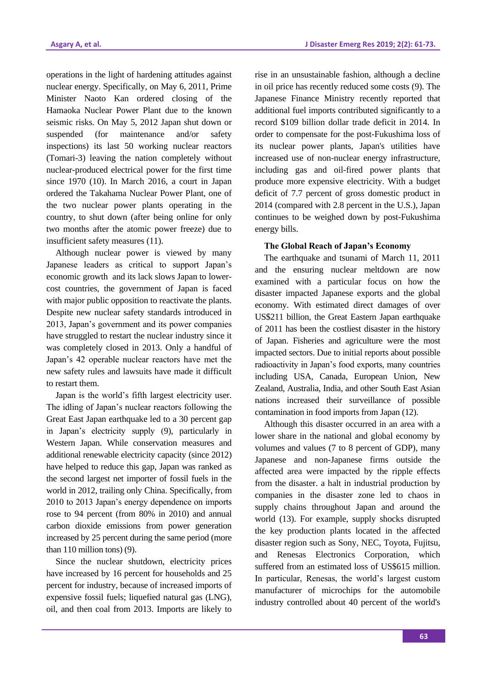operations in the light of hardening attitudes against nuclear energy. Specifically, on May 6, 2011, Prime Minister Naoto Kan ordered closing of the Hamaoka Nuclear Power Plant due to the known seismic risks. On May 5, 2012 Japan shut down or suspended (for maintenance and/or safety inspections) its last 50 working nuclear reactors (Tomari-3) leaving the nation completely without nuclear-produced electrical power for the first time since 1970 (10). In March 2016, a court in Japan ordered the Takahama Nuclear Power Plant, one of the two nuclear power plants operating in the country, to shut down (after being online for only two months after the atomic power freeze) due to insufficient safety measures (11).

Although nuclear power is viewed by many Japanese leaders as critical to support Japan's economic growth and its lack slows Japan to lowercost countries, the government of Japan is faced with major public opposition to reactivate the plants. Despite new nuclear safety standards introduced in 2013, Japan's government and its power companies have struggled to restart the nuclear industry since it was completely closed in 2013. Only a handful of Japan's 42 operable nuclear reactors have met the new safety rules and lawsuits have made it difficult to restart them.

Japan is the world's fifth largest electricity user. The idling of Japan's nuclear reactors following the Great East Japan earthquake led to a 30 percent gap in Japan's electricity supply (9), particularly in Western Japan. While conservation measures and additional renewable electricity capacity (since 2012) have helped to reduce this gap, Japan was ranked as the second largest net importer of fossil fuels in the world in 2012, trailing only China. Specifically, from 2010 to 2013 Japan's energy dependence on imports rose to 94 percent (from 80% in 2010) and annual carbon dioxide emissions from power generation increased by 25 percent during the same period (more than 110 million tons) (9).

Since the nuclear shutdown, electricity prices have increased by 16 percent for households and 25 percent for industry, because of increased imports of expensive fossil fuels; liquefied natural gas (LNG), oil, and then coal from 2013. Imports are likely to

rise in an unsustainable fashion, although a decline in oil price has recently reduced some costs (9). The Japanese Finance Ministry recently reported that additional fuel imports contributed significantly to a record \$109 billion dollar trade deficit in 2014. In order to compensate for the post-Fukushima loss of its nuclear power plants, Japan's utilities have increased use of non-nuclear energy infrastructure, including gas and oil-fired power plants that produce more expensive electricity. With a budget deficit of 7.7 percent of gross domestic product in 2014 (compared with 2.8 percent in the U.S.), Japan continues to be weighed down by post-Fukushima energy bills.

## **The Global Reach of Japan's Economy**

The earthquake and tsunami of March 11, 2011 and the ensuring nuclear meltdown are now examined with a particular focus on how the disaster impacted Japanese exports and the global economy. With estimated direct damages of over US\$211 billion, the Great Eastern Japan earthquake of 2011 has been the costliest disaster in the history of Japan. Fisheries and agriculture were the most impacted sectors. Due to initial reports about possible radioactivity in Japan's food exports, many countries including USA, Canada, European Union, New Zealand, Australia, India, and other South East Asian nations increased their surveillance of possible contamination in food imports from Japan (12).

Although this disaster occurred in an area with a lower share in the national and global economy by volumes and values (7 to 8 percent of GDP), many Japanese and non-Japanese firms outside the affected area were impacted by the ripple effects from the disaster. a halt in industrial production by companies in the disaster zone led to chaos in supply chains throughout Japan and around the world (13). For example, supply shocks disrupted the key production plants located in the affected disaster region such as Sony, NEC, Toyota, Fujitsu, and Renesas Electronics Corporation, which suffered from an estimated loss of US\$615 million. In particular, Renesas, the world's largest custom manufacturer of microchips for the automobile industry controlled about 40 percent of the world's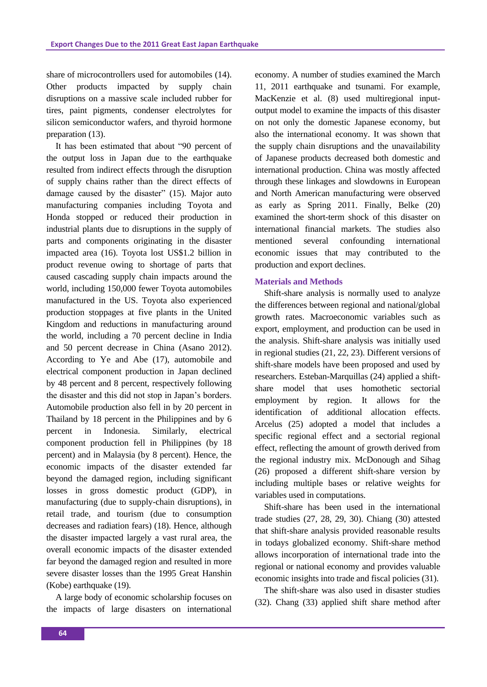share of microcontrollers used for automobiles (14). Other products impacted by supply chain disruptions on a massive scale included rubber for tires, paint pigments, condenser electrolytes for silicon semiconductor wafers, and thyroid hormone preparation (13).

It has been estimated that about "90 percent of the output loss in Japan due to the earthquake resulted from indirect effects through the disruption of supply chains rather than the direct effects of damage caused by the disaster" (15). Major auto manufacturing companies including Toyota and Honda stopped or reduced their production in industrial plants due to disruptions in the supply of parts and components originating in the disaster impacted area (16). Toyota lost US\$1.2 billion in product revenue owing to shortage of parts that caused cascading supply chain impacts around the world, including 150,000 fewer Toyota automobiles manufactured in the US. Toyota also experienced production stoppages at five plants in the United Kingdom and reductions in manufacturing around the world, including a 70 percent decline in India and 50 percent decrease in China (Asano 2012). According to Ye and Abe (17), automobile and electrical component production in Japan declined by 48 percent and 8 percent, respectively following the disaster and this did not stop in Japan's borders. Automobile production also fell in by 20 percent in Thailand by 18 percent in the Philippines and by 6 percent in Indonesia. Similarly, electrical component production fell in Philippines (by 18 percent) and in Malaysia (by 8 percent). Hence, the economic impacts of the disaster extended far beyond the damaged region, including significant losses in gross domestic product (GDP), in manufacturing (due to supply-chain disruptions), in retail trade, and tourism (due to consumption decreases and radiation fears) (18). Hence, although the disaster impacted largely a vast rural area, the overall economic impacts of the disaster extended far beyond the damaged region and resulted in more severe disaster losses than the 1995 Great Hanshin (Kobe) earthquake (19).

A large body of economic scholarship focuses on the impacts of large disasters on international economy. A number of studies examined the March 11, 2011 earthquake and tsunami. For example, MacKenzie et al. (8) used multiregional inputoutput model to examine the impacts of this disaster on not only the domestic Japanese economy, but also the international economy. It was shown that the supply chain disruptions and the unavailability of Japanese products decreased both domestic and international production. China was mostly affected through these linkages and slowdowns in European and North American manufacturing were observed as early as Spring 2011. Finally, Belke (20) examined the short-term shock of this disaster on international financial markets. The studies also mentioned several confounding international economic issues that may contributed to the production and export declines.

## **Materials and Methods**

Shift-share analysis is normally used to analyze the differences between regional and national/global growth rates. Macroeconomic variables such as export, employment, and production can be used in the analysis. Shift-share analysis was initially used in regional studies (21, 22, 23). Different versions of shift-share models have been proposed and used by researchers. Esteban-Marquillas (24) applied a shiftshare model that uses homothetic sectorial employment by region. It allows for the identification of additional allocation effects. Arcelus (25) adopted a model that includes a specific regional effect and a sectorial regional effect, reflecting the amount of growth derived from the regional industry mix. McDonough and Sihag (26) proposed a different shift-share version by including multiple bases or relative weights for variables used in computations.

Shift-share has been used in the international trade studies (27, 28, 29, 30). Chiang (30) attested that shift-share analysis provided reasonable results in todays globalized economy. Shift-share method allows incorporation of international trade into the regional or national economy and provides valuable economic insights into trade and fiscal policies (31).

The shift-share was also used in disaster studies (32). Chang (33) applied shift share method after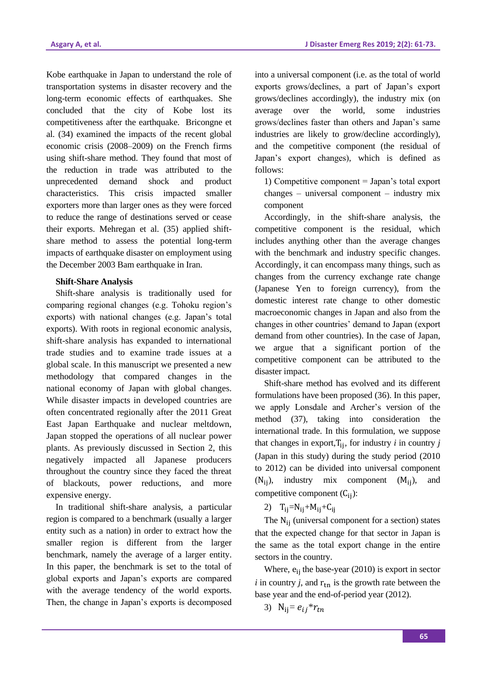Kobe earthquake in Japan to understand the role of transportation systems in disaster recovery and the long-term economic effects of earthquakes. She concluded that the city of Kobe lost its competitiveness after the earthquake. Bricongne et al. (34) examined the impacts of the recent global economic crisis (2008–2009) on the French firms using shift-share method. They found that most of the reduction in trade was attributed to the unprecedented demand shock and product characteristics. This crisis impacted smaller exporters more than larger ones as they were forced to reduce the range of destinations served or cease their exports. Mehregan et al. (35) applied shiftshare method to assess the potential long-term impacts of earthquake disaster on employment using the December 2003 Bam earthquake in Iran.

### **Shift-Share Analysis**

Shift-share analysis is traditionally used for comparing regional changes (e.g. Tohoku region's exports) with national changes (e.g. Japan's total exports). With roots in regional economic analysis, shift-share analysis has expanded to international trade studies and to examine trade issues at a global scale. In this manuscript we presented a new methodology that compared changes in the national economy of Japan with global changes. While disaster impacts in developed countries are often concentrated regionally after the 2011 Great East Japan Earthquake and nuclear meltdown, Japan stopped the operations of all nuclear power plants. As previously discussed in Section 2, this negatively impacted all Japanese producers throughout the country since they faced the threat of blackouts, power reductions, and more expensive energy.

In traditional shift-share analysis, a particular region is compared to a benchmark (usually a larger entity such as a nation) in order to extract how the smaller region is different from the larger benchmark, namely the average of a larger entity. In this paper, the benchmark is set to the total of global exports and Japan's exports are compared with the average tendency of the world exports. Then, the change in Japan's exports is decomposed

into a universal component (i.e. as the total of world exports grows/declines, a part of Japan's export grows/declines accordingly), the industry mix (on average over the world, some industries grows/declines faster than others and Japan's same industries are likely to grow/decline accordingly), and the competitive component (the residual of Japan's export changes), which is defined as follows:

1) Competitive component = Japan's total export changes – universal component – industry mix component

Accordingly, in the shift-share analysis, the competitive component is the residual, which includes anything other than the average changes with the benchmark and industry specific changes. Accordingly, it can encompass many things, such as changes from the currency exchange rate change (Japanese Yen to foreign currency), from the domestic interest rate change to other domestic macroeconomic changes in Japan and also from the changes in other countries' demand to Japan (export demand from other countries). In the case of Japan, we argue that a significant portion of the competitive component can be attributed to the disaster impact.

Shift-share method has evolved and its different formulations have been proposed (36). In this paper, we apply Lonsdale and Archer's version of the method (37), taking into consideration the international trade. In this formulation, we suppose that changes in export,  $T_{ii}$ , for industry *i* in country *j* (Japan in this study) during the study period (2010 to 2012) can be divided into universal component  $(N_{ii})$ , industry mix component  $(M_{ii})$ , and competitive component  $(C_{ii})$ :

2)  $T_{ij} = N_{ij} + M_{ij} + C_{ij}$ 

The  $N_{ii}$  (universal component for a section) states that the expected change for that sector in Japan is the same as the total export change in the entire sectors in the country.

Where,  $e_{ii}$  the base-year (2010) is export in sector  $i$  in country  $j$ , and  $r_{\text{tn}}$  is the growth rate between the base year and the end-of-period year (2012).

3) 
$$
N_{ij} = e_{ij} * r_{tn}
$$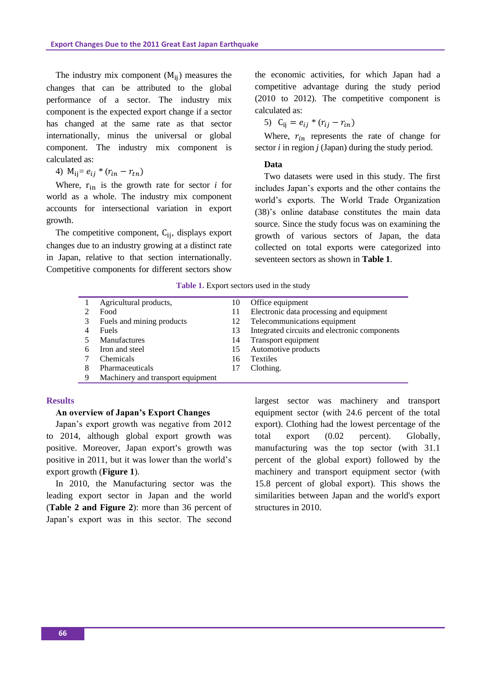The industry mix component  $(M_{ii})$  measures the changes that can be attributed to the global performance of a sector. The industry mix component is the expected export change if a sector has changed at the same rate as that sector internationally, minus the universal or global component. The industry mix component is calculated as:

4)  $M_{ii} = e_{ii} * (r_{in} - r_{tn})$ 

Where,  $r_{in}$  is the growth rate for sector  $i$  for world as a whole. The industry mix component accounts for intersectional variation in export growth.

The competitive component,  $C_{ii}$ , displays export changes due to an industry growing at a distinct rate in Japan, relative to that section internationally. Competitive components for different sectors show

the economic activities, for which Japan had a competitive advantage during the study period (2010 to 2012). The competitive component is calculated as:

5)  $C_{ii} = e_{ii} * (r_{ii} - r_{in})$ 

Where,  $r_{in}$  represents the rate of change for sector *i* in region *j* (Japan) during the study period.

## **Data**

Two datasets were used in this study. The first includes Japan's exports and the other contains the world's exports. The World Trade Organization (38)'s online database constitutes the main data source. Since the study focus was on examining the growth of various sectors of Japan, the data collected on total exports were categorized into seventeen sectors as shown in **Table 1**.

|   | Agricultural products,            | 10 | Office equipment                              |
|---|-----------------------------------|----|-----------------------------------------------|
|   | Food                              | 11 | Electronic data processing and equipment      |
|   | Fuels and mining products         | 12 | Telecommunications equipment                  |
|   | Fuels                             | 13 | Integrated circuits and electronic components |
|   | <b>Manufactures</b>               | 14 | Transport equipment                           |
| 6 | Iron and steel                    | 15 | Automotive products                           |
|   | <b>Chemicals</b>                  | 16 | <b>Textiles</b>                               |
| 8 | Pharmaceuticals                   | 17 | Clothing.                                     |
|   | Machinery and transport equipment |    |                                               |

#### **Results**

#### **An overview of Japan's Export Changes**

Japan's export growth was negative from 2012 to 2014, although global export growth was positive. Moreover, Japan export**'**s growth was positive in 2011, but it was lower than the world's export growth (**Figure 1**).

In 2010, the Manufacturing sector was the leading export sector in Japan and the world (**Table 2 and Figure 2**): more than 36 percent of Japan's export was in this sector. The second

largest sector was machinery and transport equipment sector (with 24.6 percent of the total export). Clothing had the lowest percentage of the total export (0.02 percent). Globally, manufacturing was the top sector (with 31.1 percent of the global export) followed by the machinery and transport equipment sector (with 15.8 percent of global export). This shows the similarities between Japan and the world's export structures in 2010.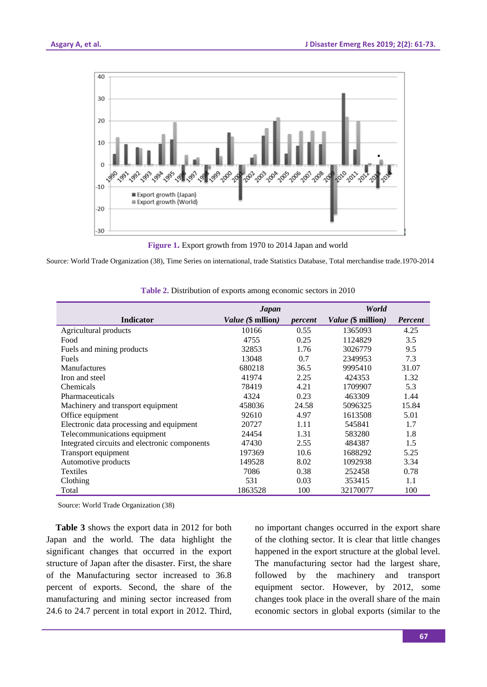

**Figure 1.** Export growth from 1970 to 2014 Japan and world

Source: World Trade Organization (38), Time Series on international, trade Statistics Database, Total merchandise trade.1970-2014

|                                               | <b>Japan</b>             |         | World                     |                |  |
|-----------------------------------------------|--------------------------|---------|---------------------------|----------------|--|
| <b>Indicator</b>                              | <i>Value</i> (\$ milion) | percent | <i>Value</i> (\$ million) | <b>Percent</b> |  |
| Agricultural products                         | 10166                    | 0.55    | 1365093                   | 4.25           |  |
| Food                                          | 4755                     | 0.25    | 1124829                   | 3.5            |  |
| Fuels and mining products                     | 32853                    | 1.76    | 3026779                   | 9.5            |  |
| Fuels                                         | 13048                    | 0.7     | 2349953                   | 7.3            |  |
| <b>Manufactures</b>                           | 680218                   | 36.5    | 9995410                   | 31.07          |  |
| Iron and steel                                | 41974                    | 2.25    | 424353                    | 1.32           |  |
| Chemicals                                     | 78419                    | 4.21    | 1709907                   | 5.3            |  |
| Pharmaceuticals                               | 4324                     | 0.23    | 463309                    | 1.44           |  |
| Machinery and transport equipment             | 458036                   | 24.58   | 5096325                   | 15.84          |  |
| Office equipment                              | 92610                    | 4.97    | 1613508                   | 5.01           |  |
| Electronic data processing and equipment      | 20727                    | 1.11    | 545841                    | 1.7            |  |
| Telecommunications equipment                  | 24454                    | 1.31    | 583280                    | 1.8            |  |
| Integrated circuits and electronic components | 47430                    | 2.55    | 484387                    | 1.5            |  |
| Transport equipment                           | 197369                   | 10.6    | 1688292                   | 5.25           |  |
| Automotive products                           | 149528                   | 8.02    | 1092938                   | 3.34           |  |
| Textiles                                      | 7086                     | 0.38    | 252458                    | 0.78           |  |
| Clothing                                      | 531                      | 0.03    | 353415                    | 1.1            |  |
| Total                                         | 1863528                  | 100     | 32170077                  | 100            |  |

**Table 2.** Distribution of exports among economic sectors in 2010

Source: World Trade Organization (38)

**Table 3** shows the export data in 2012 for both Japan and the world. The data highlight the significant changes that occurred in the export structure of Japan after the disaster. First, the share of the Manufacturing sector increased to 36.8 percent of exports. Second, the share of the manufacturing and mining sector increased from 24.6 to 24.7 percent in total export in 2012. Third, no important changes occurred in the export share of the clothing sector. It is clear that little changes happened in the export structure at the global level. The manufacturing sector had the largest share, followed by the machinery and transport equipment sector. However, by 2012, some changes took place in the overall share of the main economic sectors in global exports (similar to the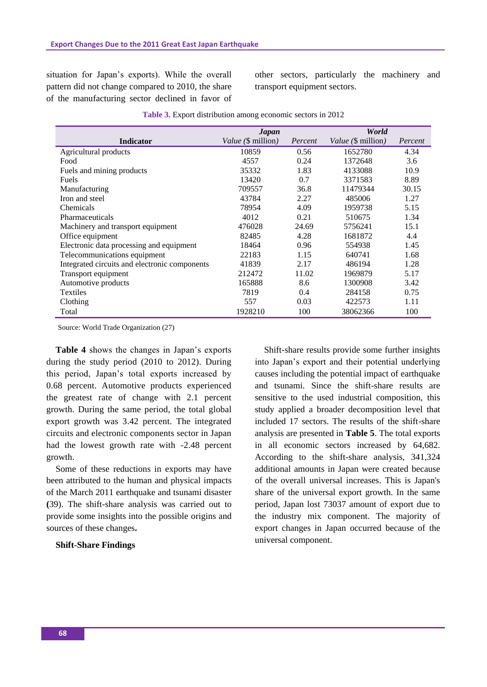situation for Japan's exports). While the overall pattern did not change compared to 2010, the share of the manufacturing sector declined in favor of

other sectors, particularly the machinery and transport equipment sectors.

|                                               | <b>Japan</b>              |         | World                     |         |  |
|-----------------------------------------------|---------------------------|---------|---------------------------|---------|--|
| <b>Indicator</b>                              | <i>Value</i> (\$ million) | Percent | <i>Value</i> (\$ million) | Percent |  |
| Agricultural products                         | 10859                     | 0.56    | 1652780                   | 4.34    |  |
| Food                                          | 4557                      | 0.24    | 1372648                   | 3.6     |  |
| Fuels and mining products                     | 35332                     | 1.83    | 4133088                   | 10.9    |  |
| Fuels                                         | 13420                     | 0.7     | 3371583                   | 8.89    |  |
| Manufacturing                                 | 709557                    | 36.8    | 11479344                  | 30.15   |  |
| Iron and steel                                | 43784                     | 2.27    | 485006                    | 1.27    |  |
| Chemicals                                     | 78954                     | 4.09    | 1959738                   | 5.15    |  |
| Pharmaceuticals                               | 4012                      | 0.21    | 510675                    | 1.34    |  |
| Machinery and transport equipment             | 476028                    | 24.69   | 5756241                   | 15.1    |  |
| Office equipment                              | 82485                     | 4.28    | 1681872                   | 4.4     |  |
| Electronic data processing and equipment      | 18464                     | 0.96    | 554938                    | 1.45    |  |
| Telecommunications equipment                  | 22183                     | 1.15    | 640741                    | 1.68    |  |
| Integrated circuits and electronic components | 41839                     | 2.17    | 486194                    | 1.28    |  |
| Transport equipment                           | 212472                    | 11.02   | 1969879                   | 5.17    |  |
| Automotive products                           | 165888                    | 8.6     | 1300908                   | 3.42    |  |
| <b>Textiles</b>                               | 7819                      | 0.4     | 284158                    | 0.75    |  |
| Clothing                                      | 557                       | 0.03    | 422573                    | 1.11    |  |
| Total                                         | 1928210                   | 100     | 38062366                  | 100     |  |

|  |  | Table 3. Export distribution among economic sectors in 2012 |  |  |
|--|--|-------------------------------------------------------------|--|--|
|--|--|-------------------------------------------------------------|--|--|

Source: World Trade Organization (27)

**Table 4** shows the changes in Japan's exports during the study period (2010 to 2012). During this period, Japan's total exports increased by 0.68 percent. Automotive products experienced the greatest rate of change with 2.1 percent growth. During the same period, the total global export growth was 3.42 percent. The integrated circuits and electronic components sector in Japan had the lowest growth rate with -2.48 percent growth.

Some of these reductions in exports may have been attributed to the human and physical impacts of the March 2011 earthquake and tsunami disaster **(**39). The shift-share analysis was carried out to provide some insights into the possible origins and sources of these changes**.**

# **Shift-Share Findings**

Shift-share results provide some further insights into Japan's export and their potential underlying causes including the potential impact of earthquake and tsunami. Since the shift-share results are sensitive to the used industrial composition, this study applied a broader decomposition level that included 17 sectors. The results of the shift-share analysis are presented in **Table 5**. The total exports in all economic sectors increased by 64,682. According to the shift-share analysis, 341,324 additional amounts in Japan were created because of the overall universal increases. This is Japan's share of the universal export growth. In the same period, Japan lost 73037 amount of export due to the industry mix component. The majority of export changes in Japan occurred because of the universal component.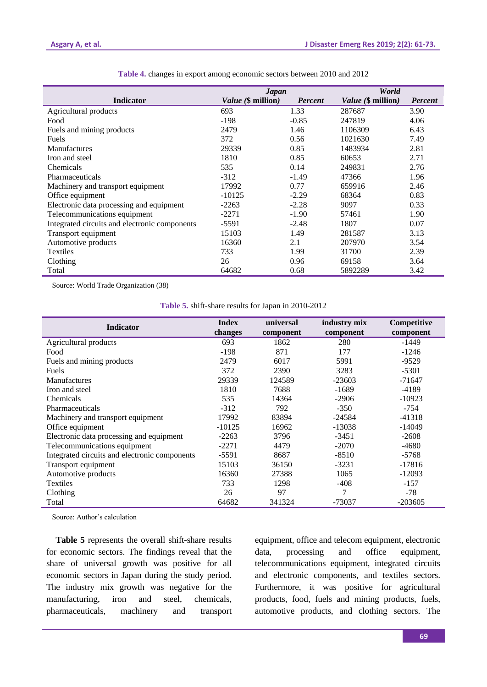|                                               | <b>Japan</b>       |                | World              |                |  |
|-----------------------------------------------|--------------------|----------------|--------------------|----------------|--|
| <b>Indicator</b>                              | Value (\$ million) | <b>Percent</b> | Value (\$ million) | <b>Percent</b> |  |
| Agricultural products                         | 693                | 1.33           | 287687             | 3.90           |  |
| Food                                          | $-198$             | $-0.85$        | 247819             | 4.06           |  |
| Fuels and mining products                     | 2479               | 1.46           | 1106309            | 6.43           |  |
| Fuels                                         | 372                | 0.56           | 1021630            | 7.49           |  |
| Manufactures                                  | 29339              | 0.85           | 1483934            | 2.81           |  |
| Iron and steel                                | 1810               | 0.85           | 60653              | 2.71           |  |
| Chemicals                                     | 535                | 0.14           | 249831             | 2.76           |  |
| Pharmaceuticals                               | $-312$             | $-1.49$        | 47366              | 1.96           |  |
| Machinery and transport equipment             | 17992              | 0.77           | 659916             | 2.46           |  |
| Office equipment                              | $-10125$           | $-2.29$        | 68364              | 0.83           |  |
| Electronic data processing and equipment      | $-2263$            | $-2.28$        | 9097               | 0.33           |  |
| Telecommunications equipment                  | $-2271$            | $-1.90$        | 57461              | 1.90           |  |
| Integrated circuits and electronic components | $-5591$            | $-2.48$        | 1807               | 0.07           |  |
| Transport equipment                           | 15103              | 1.49           | 281587             | 3.13           |  |
| Automotive products                           | 16360              | 2.1            | 207970             | 3.54           |  |
| <b>Textiles</b>                               | 733                | 1.99           | 31700              | 2.39           |  |
| Clothing                                      | 26                 | 0.96           | 69158              | 3.64           |  |
| Total                                         | 64682              | 0.68           | 5892289            | 3.42           |  |

**Table 4.** changes in export among economic sectors between 2010 and 2012

Source: World Trade Organization (38)

| Table 5. shift-share results for Japan in 2010-2012 |  |  |  |  |  |  |  |  |
|-----------------------------------------------------|--|--|--|--|--|--|--|--|
|-----------------------------------------------------|--|--|--|--|--|--|--|--|

| <b>Indicator</b>                              | <b>Index</b><br>changes | universal<br>component | industry mix<br>component | Competitive<br>component |
|-----------------------------------------------|-------------------------|------------------------|---------------------------|--------------------------|
| Agricultural products                         | 693                     | 1862                   | 280                       | $-1449$                  |
| Food                                          | $-198$                  | 871                    | 177                       | $-1246$                  |
| Fuels and mining products                     | 2479                    | 6017                   | 5991                      | $-9529$                  |
| Fuels                                         | 372                     | 2390                   | 3283                      | $-5301$                  |
| Manufactures                                  | 29339                   | 124589                 | $-23603$                  | $-71647$                 |
| Iron and steel                                | 1810                    | 7688                   | $-1689$                   | $-4189$                  |
| Chemicals                                     | 535                     | 14364                  | $-2906$                   | $-10923$                 |
| Pharmaceuticals                               | $-312$                  | 792                    | $-350$                    | $-754$                   |
| Machinery and transport equipment             | 17992                   | 83894                  | $-24584$                  | $-41318$                 |
| Office equipment                              | $-10125$                | 16962                  | $-13038$                  | $-14049$                 |
| Electronic data processing and equipment      | $-2263$                 | 3796                   | $-3451$                   | $-2608$                  |
| Telecommunications equipment                  | $-2271$                 | 4479                   | $-2070$                   | -4680                    |
| Integrated circuits and electronic components | $-5591$                 | 8687                   | $-8510$                   | $-5768$                  |
| Transport equipment                           | 15103                   | 36150                  | $-3231$                   | $-17816$                 |
| Automotive products                           | 16360                   | 27388                  | 1065                      | $-12093$                 |
| Textiles                                      | 733                     | 1298                   | $-408$                    | $-157$                   |
| Clothing                                      | 26                      | 97                     | 7                         | $-78$                    |
| Total                                         | 64682                   | 341324                 | -73037                    | $-203605$                |

Source: Author's calculation

**Table 5** represents the overall shift-share results for economic sectors. The findings reveal that the share of universal growth was positive for all economic sectors in Japan during the study period. The industry mix growth was negative for the manufacturing, iron and steel, chemicals, pharmaceuticals, machinery and transport equipment, office and telecom equipment, electronic data, processing and office equipment, telecommunications equipment, integrated circuits and electronic components, and textiles sectors. Furthermore, it was positive for agricultural products, food, fuels and mining products, fuels, automotive products, and clothing sectors. The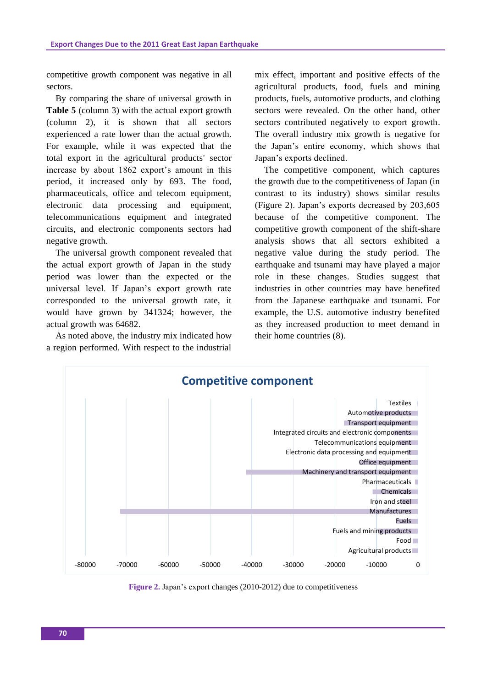competitive growth component was negative in all sectors.

By comparing the share of universal growth in **Table 5** (column 3) with the actual export growth (column 2), it is shown that all sectors experienced a rate lower than the actual growth. For example, while it was expected that the total export in the agricultural products' sector increase by about 1862 export's amount in this period, it increased only by 693. The food, pharmaceuticals, office and telecom equipment, electronic data processing and equipment, telecommunications equipment and integrated circuits, and electronic components sectors had negative growth.

The universal growth component revealed that the actual export growth of Japan in the study period was lower than the expected or the universal level. If Japan's export growth rate corresponded to the universal growth rate, it would have grown by 341324; however, the actual growth was 64682.

As noted above, the industry mix indicated how a region performed. With respect to the industrial mix effect, important and positive effects of the agricultural products, food, fuels and mining products, fuels, automotive products, and clothing sectors were revealed. On the other hand, other sectors contributed negatively to export growth. The overall industry mix growth is negative for the Japan's entire economy, which shows that Japan's exports declined.

The competitive component, which captures the growth due to the competitiveness of Japan (in contrast to its industry) shows similar results (Figure 2). Japan's exports decreased by 203,605 because of the competitive component. The competitive growth component of the shift-share analysis shows that all sectors exhibited a negative value during the study period. The earthquake and tsunami may have played a major role in these changes. Studies suggest that industries in other countries may have benefited from the Japanese earthquake and tsunami. For example, the U.S. automotive industry benefited as they increased production to meet demand in their home countries (8).



**Figure 2.** Japan's export changes (2010-2012) due to competitiveness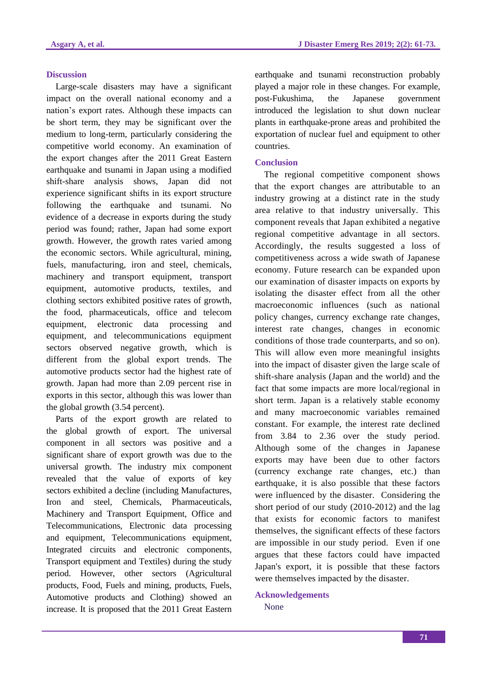## **Discussion**

Large-scale disasters may have a significant impact on the overall national economy and a nation's export rates. Although these impacts can be short term, they may be significant over the medium to long-term, particularly considering the competitive world economy. An examination of the export changes after the 2011 Great Eastern earthquake and tsunami in Japan using a modified shift-share analysis shows, Japan did not experience significant shifts in its export structure following the earthquake and tsunami. No evidence of a decrease in exports during the study period was found; rather, Japan had some export growth. However, the growth rates varied among the economic sectors. While agricultural, mining, fuels, manufacturing, iron and steel, chemicals, machinery and transport equipment, transport equipment, automotive products, textiles, and clothing sectors exhibited positive rates of growth, the food, pharmaceuticals, office and telecom equipment, electronic data processing and equipment, and telecommunications equipment sectors observed negative growth, which is different from the global export trends. The automotive products sector had the highest rate of growth. Japan had more than 2.09 percent rise in exports in this sector, although this was lower than the global growth (3.54 percent).

Parts of the export growth are related to the global growth of export. The universal component in all sectors was positive and a significant share of export growth was due to the universal growth. The industry mix component revealed that the value of exports of key sectors exhibited a decline (including Manufactures, Iron and steel, Chemicals, Pharmaceuticals, Machinery and Transport Equipment, Office and Telecommunications, Electronic data processing and equipment, Telecommunications equipment, Integrated circuits and electronic components, Transport equipment and Textiles) during the study period. However, other sectors (Agricultural products, Food, Fuels and mining, products, Fuels, Automotive products and Clothing) showed an increase. It is proposed that the 2011 Great Eastern earthquake and tsunami reconstruction probably played a major role in these changes. For example, post-Fukushima, the Japanese government introduced the legislation to shut down nuclear plants in earthquake-prone areas and prohibited the exportation of nuclear fuel and equipment to other countries.

# **Conclusion**

The regional competitive component shows that the export changes are attributable to an industry growing at a distinct rate in the study area relative to that industry universally. This component reveals that Japan exhibited a negative regional competitive advantage in all sectors. Accordingly, the results suggested a loss of competitiveness across a wide swath of Japanese economy. Future research can be expanded upon our examination of disaster impacts on exports by isolating the disaster effect from all the other macroeconomic influences (such as national policy changes, currency exchange rate changes, interest rate changes, changes in economic conditions of those trade counterparts, and so on). This will allow even more meaningful insights into the impact of disaster given the large scale of shift-share analysis (Japan and the world) and the fact that some impacts are more local/regional in short term. Japan is a relatively stable economy and many macroeconomic variables remained constant. For example, the interest rate declined from 3.84 to 2.36 over the study period. Although some of the changes in Japanese exports may have been due to other factors (currency exchange rate changes, etc.) than earthquake, it is also possible that these factors were influenced by the disaster. Considering the short period of our study (2010-2012) and the lag that exists for economic factors to manifest themselves, the significant effects of these factors are impossible in our study period. Even if one argues that these factors could have impacted Japan's export, it is possible that these factors were themselves impacted by the disaster.

# **Acknowledgements**

None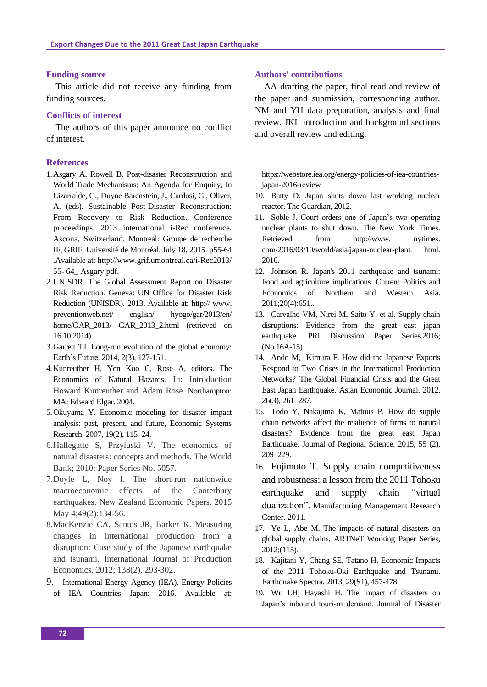#### **Funding source**

This article did not receive any funding from funding sources.

## **Conflicts of interest**

The authors of this paper announce no conflict of interest.

#### **References**

- 1.Asgary A, Rowell B. Post-disaster Reconstruction and World Trade Mechanisms: An Agenda for Enquiry, In Lizarralde, G., Duyne Barenstein, J., Cardosi, G., Oliver, A. (eds). Sustainable Post-Disaster Reconstruction: From Recovery to Risk Reduction. Conference proceedings. 2013 international i-Rec conference. Ascona, Switzerland. Montreal: Groupe de recherche IF, GRIF, Université de Montréal. July 18, 2015. p55-64 .Available at: http://www.grif.umontreal.ca/i-Rec2013/ 55- 64\_ Asgary.pdf.
- 2.UNISDR. The Global Assessment Report on Disaster Risk Reduction. Geneva: UN Office for Disaster Risk Reduction (UNISDR). 2013, Available at: http:// www. preventionweb.net/ english/ hyogo/gar/2013/en/ home/GAR\_2013/ GAR\_2013\_2.html (retrieved on 16.10.2014).
- 3.Garrett TJ. Long-run evolution of the global economy: Earth's Future. 2014, 2(3), 127-151.
- 4.Kunreuther H, Yen Koo C, Rose A, editors. The Economics of Natural Hazards. In: Introduction Howard Kunreuther and Adam Rose. Northampton: MA: Edward Elgar. 2004.
- 5.Okuyama Y. Economic modeling for disaster impact analysis: past, present, and future, Economic Systems Research. 2007, 19(2), 115–24.
- 6.Hallegatte S, Przyluski V. The economics of natural disasters: concepts and methods. The World Bank; 2010: Paper Series No. 5057.
- 7.Doyle L, Noy I. The short-run nationwide macroeconomic effects of the Canterbury earthquakes. New Zealand Economic Papers. 2015 May 4;49(2):134-56.
- 8.MacKenzie CA, Santos JR, Barker K. Measuring changes in international production from a disruption: Case study of the Japanese earthquake and tsunami, International Journal of Production Economics, 2012; 138(2), 293-302.
- 9. International Energy Agency (IEA). Energy Policies of IEA Countries Japan: 2016. Available at:

# **Authors' contributions**

AA drafting the paper, final read and review of the paper and submission, corresponding author. NM and YH data preparation, analysis and final review. JKL introduction and background sections and overall review and editing.

[https://webstore.iea.org/energy-policies-of-iea-countries](https://webstore.iea.org/energy-policies-of-iea-countries-japan-2016-review)[japan-2016-review](https://webstore.iea.org/energy-policies-of-iea-countries-japan-2016-review)

- 10. Batty D. [Japan shuts down last working nuclear](https://www.theguardian.com/world/2012/may/05/japan-shuts-down-last-nuclear-reactor)  [reactor.](https://www.theguardian.com/world/2012/may/05/japan-shuts-down-last-nuclear-reactor) The Guardian, 2012.
- 11. Soble J. Court orders one of Japan's two operating nuclear plants to shut down. The New York Times. Retrieved from http://www. nytimes. com/2016/03/10/world/asia/japan-nuclear-plant. html. 2016.
- 12. Johnson R. Japan's 2011 earthquake and tsunami: Food and agriculture implications. Current Politics and Economics of Northern and Western Asia. 2011;20(4):651..
- 13. Carvalho VM, Nirei M, Saito Y, et al. Supply chain disruptions: Evidence from the great east japan earthquake. PRI Discussion Paper Series.2016; (No.16A-15)
- 14. Ando M, Kimura F. How did the Japanese Exports Respond to Two Crises in the International Production Networks? The Global Financial Crisis and the Great East Japan Earthquake. Asian Economic Journal. 2012, 26(3), 261–287.
- 15. Todo Y, Nakajima K, Matous P. How do supply chain networks affect the resilience of firms to natural disasters? Evidence from the great east Japan Earthquake. Journal of Regional Science. 2015, 55 (2), 209–229.
- 16. Fujimoto T. Supply chain competitiveness and robustness: a lesson from the 2011 Tohoku earthquake and supply chain "virtual dualization". Manufacturing Management Research Center. 2011.
- 17. Ye L, Abe M. The impacts of natural disasters on global supply chains, ARTNeT Working Paper Series, 2012;(115).
- 18. Kajitani Y, Chang SE, Tatano H. Economic Impacts of the 2011 Tohoku-Oki Earthquake and Tsunami. Earthquake Spectra. 2013, 29(S1), 457-478.
- 19. Wu [LH,](http://www.cabdirect.org/search.html?q=au%3A%22Wu+LiHui%22) [Hayashi](http://www.cabdirect.org/search.html?q=au%3A%22Hayashi%2C+H.%22) H. The impact of disasters on Japan's inbound tourism demand. Journal of Disaster